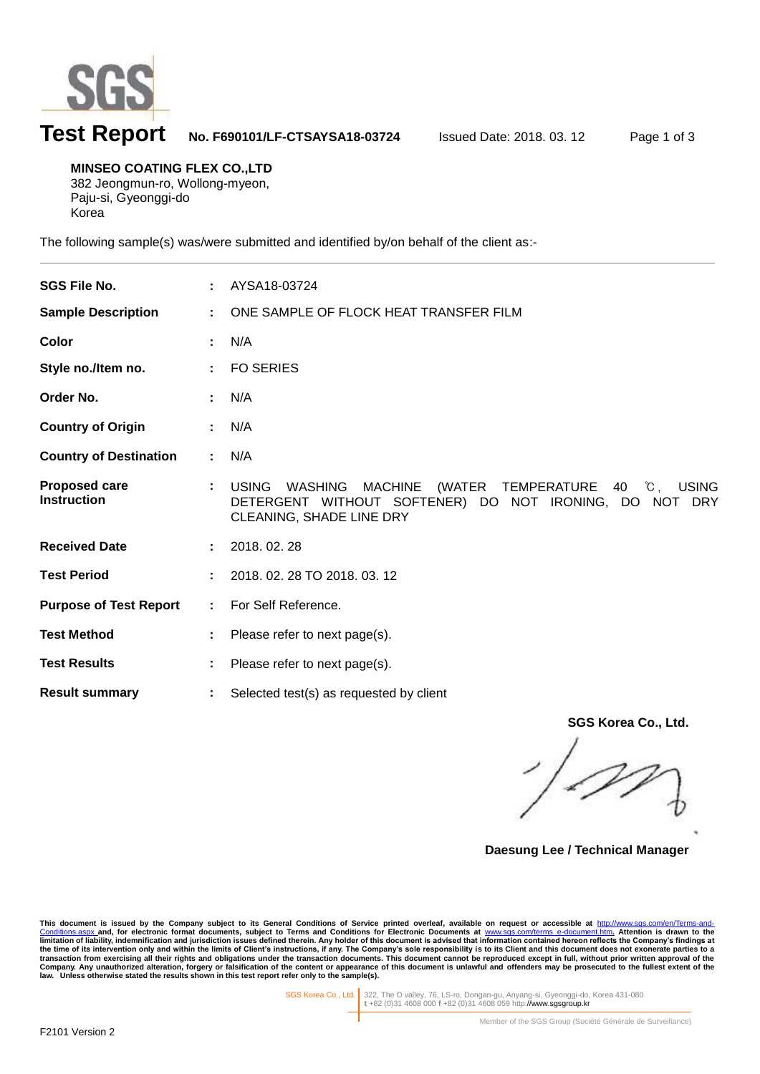

l

## **Test Report No. F690101/LF-CTSAYSA18-03724** Issued Date: 2018. 03. 12 Page 1 of 3

**MINSEO COATING FLEX CO.,LTD** 382 Jeongmun-ro, Wollong-myeon, Paju-si, Gyeonggi-do Korea

The following sample(s) was/were submitted and identified by/on behalf of the client as:-

| <b>SGS File No.</b>                        |    | AYSA18-03724                                                                                                                                                                                                 |
|--------------------------------------------|----|--------------------------------------------------------------------------------------------------------------------------------------------------------------------------------------------------------------|
| <b>Sample Description</b>                  | ÷  | ONE SAMPLE OF FLOCK HEAT TRANSFER FILM                                                                                                                                                                       |
| Color                                      |    | N/A                                                                                                                                                                                                          |
| Style no./Item no.                         |    | <b>FO SERIES</b>                                                                                                                                                                                             |
| Order No.                                  |    | N/A                                                                                                                                                                                                          |
| <b>Country of Origin</b>                   |    | N/A                                                                                                                                                                                                          |
| <b>Country of Destination</b>              | ÷. | N/A                                                                                                                                                                                                          |
| <b>Proposed care</b><br><b>Instruction</b> |    | <b>USING</b><br>(WATER TEMPERATURE<br>$^{\circ}\mathrm{C}$ .<br><b>USING</b><br><b>WASHING</b><br><b>MACHINE</b><br>40<br>DETERGENT WITHOUT SOFTENER) DO NOT IRONING, DO NOT DRY<br>CLEANING, SHADE LINE DRY |
| <b>Received Date</b>                       |    | 2018.02.28                                                                                                                                                                                                   |
| <b>Test Period</b>                         |    | 2018. 02. 28 TO 2018. 03. 12                                                                                                                                                                                 |
| <b>Purpose of Test Report</b>              | ÷. | For Self Reference.                                                                                                                                                                                          |
| <b>Test Method</b>                         |    | Please refer to next page(s).                                                                                                                                                                                |
| <b>Test Results</b>                        |    | Please refer to next page(s).                                                                                                                                                                                |
| <b>Result summary</b>                      |    | Selected test(s) as requested by client                                                                                                                                                                      |

**SGS Korea Co., Ltd.**

**Daesung Lee / Technical Manager**

This document is issued by the Company subject to its General Conditions of Service printed overleaf, available on request or accessible at http://www.sgs.com/en/Terms-and-Conditions for Service printed overleaf, available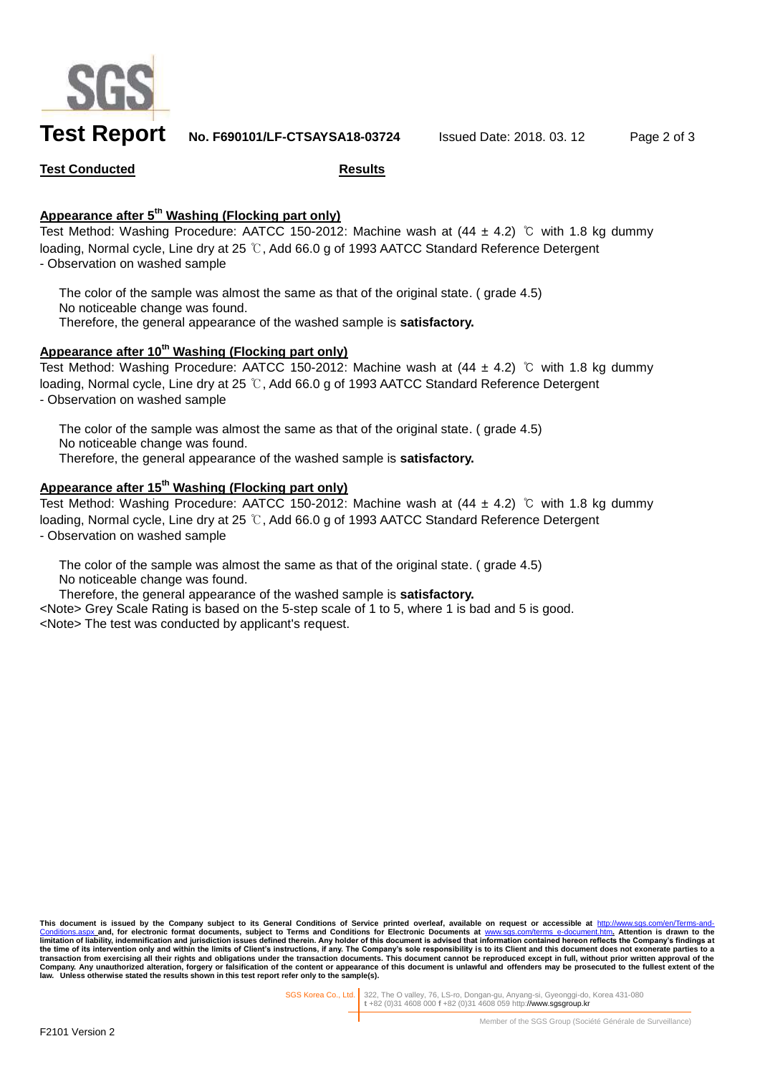

**Test Report No. F690101/LF-CTSAYSA18-03724** Issued Date: 2018. 03. 12 Page 2 of 3

**Test Conducted Results**

## **Appearance after 5 th Washing (Flocking part only)**

Test Method: Washing Procedure: AATCC 150-2012: Machine wash at  $(44 \pm 4.2)$  ℃ with 1.8 kg dummy loading, Normal cycle, Line dry at 25 ℃, Add 66.0 g of 1993 AATCC Standard Reference Detergent - Observation on washed sample

The color of the sample was almost the same as that of the original state. ( grade 4.5) No noticeable change was found. Therefore, the general appearance of the washed sample is **satisfactory.**

## **Appearance after 10th Washing (Flocking part only)**

Test Method: Washing Procedure: AATCC 150-2012: Machine wash at (44 ± 4.2) ℃ with 1.8 kg dummy loading, Normal cycle, Line dry at 25 ℃, Add 66.0 g of 1993 AATCC Standard Reference Detergent - Observation on washed sample

The color of the sample was almost the same as that of the original state. (grade 4.5) No noticeable change was found. Therefore, the general appearance of the washed sample is **satisfactory.**

## **Appearance after 15 th Washing (Flocking part only)**

Test Method: Washing Procedure: AATCC 150-2012: Machine wash at (44 ± 4.2) ℃ with 1.8 kg dummy loading, Normal cycle, Line dry at 25 ℃, Add 66.0 g of 1993 AATCC Standard Reference Detergent - Observation on washed sample

The color of the sample was almost the same as that of the original state. ( grade 4.5) No noticeable change was found.

Therefore, the general appearance of the washed sample is **satisfactory.**

<Note> Grey Scale Rating is based on the 5-step scale of 1 to 5, where 1 is bad and 5 is good. <Note> The test was conducted by applicant's request.

This document is issued by the Company subject to its General Conditions of Service printed overleaf, available on request or accessible at <u>http://www.sgs.com/en/Terms-and-</u><br><u>[Conditions.aspx](http://www.sgs.com/en/Terms-and-Conditions.aspx) a</u>nd, for electronic format do **limitation of liability, indemnification and jurisdiction issues defined therein.** Any holder of this document is advised that information contained hereon reflects the Company's findings at limitation of liability, indem the time of its intervention only and within the limits of Client's instructions, if any. The Company's sole responsibility is to its Client and this document does not exonerate parties to a<br>transaction from exercising all **law. Unless otherwise stated the results shown in this test report refer only to the sample(s).**